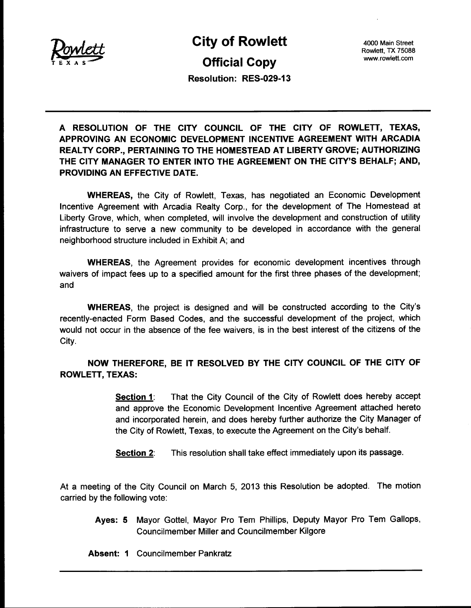

City of Rowlett Official Copy

4000 Main Street Rowlett, TX 75088 4000 Main Street<br>Rowlett, TX 75088<br>www.rowlett.com

Resolution: RES-029-13

A RESOLUTION OF THE CITY COUNCIL OF THE CITY OF ROWLETT, TEXAS, APPROVING AN ECONOMIC DEVELOPMENT INCENTIVE AGREEMENT WITH ARCADIA REALTY CORP., PERTAINING TO THE HOMESTEAD AT LIBERTY GROVE; AUTHORIZING THE CITY MANAGER TO ENTER INTO THE AGREEMENT ON THE CITY'S BEHALF; AND, PROVIDING AN EFFECTIVE DATE.

WHEREAS, the City of Rowlett, Texas, has negotiated an Economic Development Incentive Agreement with Arcadia Realty Corp., for the development of The Homestead at Liberty Grove, which, when completed, will involve the development and construction of utility infrastructure to serve a new community to be developed in accordance with the general neighborhood structure included in Exhibit A; and

WHEREAS, the Agreement provides for economic development incentives through waivers of impact fees up to a specified amount for the first three phases of the development; and

WHEREAS, the project is designed and will be constructed according to the City's recently-enacted Form Based Codes, and the successful development of the project, which would not occur in the absence of the fee waivers, is in the best interest of the citizens of the City.

NOW THEREFORE, BE IT RESOLVED BY THE CITY COUNCIL OF THE CITY OF ROWLETT, TEXAS:

> Section 1: That the City Council of the City of Rowlett does hereby accept and approve the Economic Development Incentive Agreement attached hereto and incorporated herein, and does hereby further authorize the City Manager of the City of Rowlett, Texas, to execute the Agreement on the City's behalf.

Section 2: This resolution shall take effect immediately upon its passage.

At <sup>a</sup> meeting of the City Council on March 5, 2013 this Resolution be adopted. The motion carried by the following vote:

- Ayes: 5 Mayor Gottel, Mayor Pro Tem Phillips, Deputy Mayor Pro Tem Gallops, Councilmember Miller and Councilmember Kilgore
- Absent: 1 Councilmember Pankratz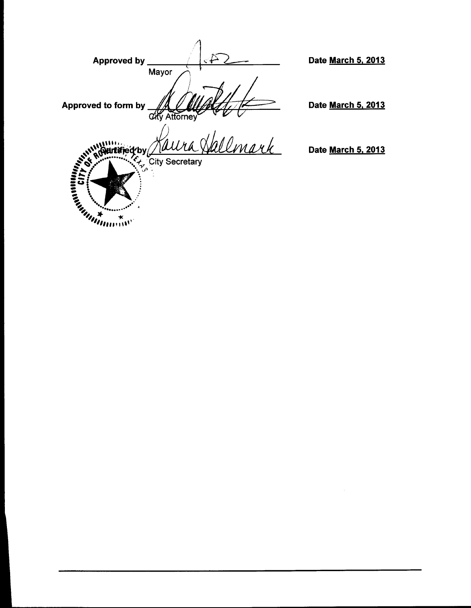Approved by  $\simeq$ Date March 5, 2013 **Mayor** i Approved to form by Allentioney Date March 5. 2013 City Attorney *<u>Nulliu</u>*<br>' Quitined by Date **March 5, 2013**  $\sum_{\mathcal{F}} \mathcal{F}_{\mathcal{F}}$ . City Secretary SA? s s  $\tilde{m}_{\rm min}$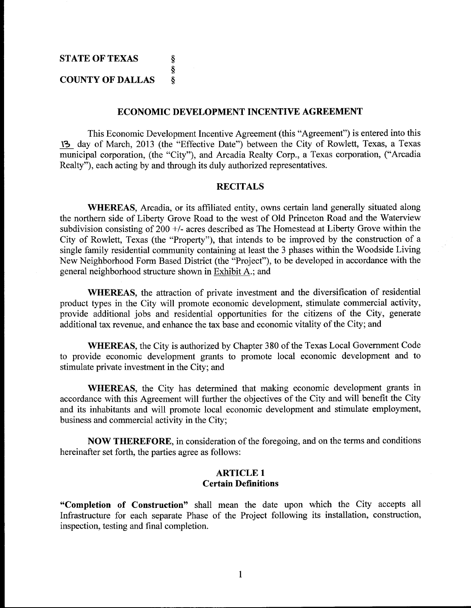#### ECONOMIC DEVELOPMENT INCENTIVE AGREEMENT

This Economic Development Incentive Agreement (this "Agreement") is entered into this 13 day of March, 2013 (the "Effective Date") between the City of Rowlett, Texas, a Texas municipal corporation, (the "City"), and Arcadia Realty Corp., a Texas corporation, ("Arcadia Realty"), each acting by and through its duly authorized representatives.

### **RECITALS**

WHEREAS, Arcadia, or its affiliated entity, owns certain land generally situated along the northern side of Liberty Grove Road to the west of Old Princeton Road and the Waterview subdivision consisting of  $200 +$ - acres described as The Homestead at Liberty Grove within the City of Rowlett, Texas (the "Property"), that intends to be improved by the construction of <sup>a</sup> single family residential community containing at least the <sup>3</sup> phases within the Woodside Living New Neighborhood Form Based District (the "Project"), to be developed in accordance with the general neighborhood structure shown in Exhibit A .; and

WHEREAS, the attraction of private investment and the diversification of residential product types in the City will promote economic development, stimulate commercial activity, provide additional jobs and residential opportunities for the citizens of the City, generate additional tax revenue, and enhance the tax base and economic vitality of the City; and

WHEREAS, the City is authorized by Chapter 380 of the Texas Local Government Code to provide economic development grants to promote local economic development and to stimulate private investment in the City; and

WHEREAS, the City has determined that making economic development grants in accordance with this Agreement will further the objectives of the City and will benefit the City and its inhabitants and will promote local economic development and stimulate employment, business and commercial activity in the City;

NOW THEREFORE, in consideration of the foregoing, and on the terms and conditions hereinafter set forth, the parties agree as follows:

### ARTICLE <sup>1</sup> Certain Definitions

Completion of Construction" shall mean the date upon which the City accepts all Infrastructure for each separate Phase of the Project following its installation, construction, inspection, testing and final completion.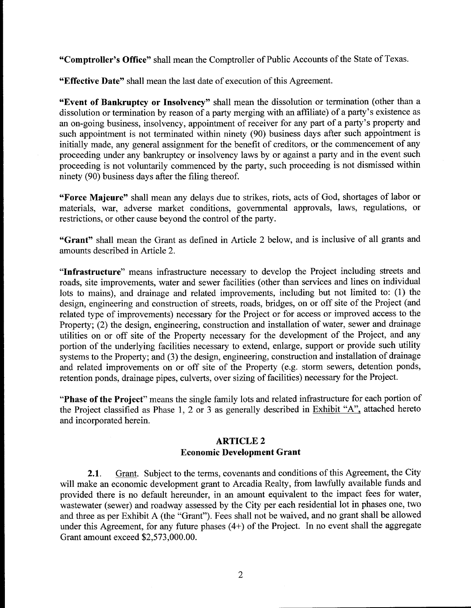"Comptroller's Office" shall mean the Comptroller of Public Accounts of the State of Texas.

Effective Date" shall mean the last date of execution of this Agreement.

Event of Bankruptcy or Insolvency" shall mean the dissolution or termination (other than <sup>a</sup> **Event of Bankruptcy or Insolvency**" shall mean the dissolution or termination (other than a dissolution or termination by reason of a party merging with an affiliate) of a party's existence as  $\alpha$  as a party luminosity i dissolution or termination by reason of a party merging with an affiliate) of a party's existence as<br>an on-going business, insolvency, appointment of receiver for any part of a party's property and<br>such appointment is not such appointment is not terminated within ninety (90) business days after such appointment is initially made, any general assignment for the benefit of creditors, or the commencement of any proceeding under any bankruptcy or insolvency laws by or against a party and in the event such proceeding is not voluntarily commenced by the party, such proceeding is not dismissed within ninety (90) business days after the filing thereof.

Force Majeure" shall mean any delays due to strikes, riots, acts of God, shortages of labor or materials, war, adverse market conditions, governmental approvals, laws, regulations, or restrictions, or other cause beyond the control of the party.

"Grant" shall mean the Grant as defined in Article 2 below, and is inclusive of all grants and amounts described in Article 2.

"Infrastructure" means infrastructure necessary to develop the Project including streets and roads, site improvements, water and sewer facilities (other than services and lines on individual lots to mains), and drainage and related improvements, including but not limited to: (1) the design, engineering and construction of streets, roads, bridges, on or off site of the Project (and related type of improvements) necessary for the Project or for access or improved access to the Property; (2) the design, engineering, construction and installation of water, sewer and drainage utilities on or off site of the Property necessary for the development of the Project, and any portion of the underlying facilities necessary to extend, enlarge, support or provide such utility systems to the Property; and (3) the design, engineering, construction and installation of drainage and related improvements on or off site of the Property (e.g. storm sewers, detention ponds, retention ponds, drainage pipes, culverts, over sizing of facilities) necessary for the Project.

"Phase of the Project" means the single family lots and related infrastructure for each portion of the Project classified as Phase 1, 2 or 3 as generally described in Exhibit "A", attached hereto and incorporated herein.

# ARTICLE 2 Economic Development Grant

2.1. Grant. Subject to the terms, covenants and conditions of this Agreement, the City will make an economic development grant to Arcadia Realty, from lawfully available funds and provided there is no default hereunder, in an amount equivalent to the impact fees for water, wastewater (sewer) and roadway assessed by the City per each residential lot in phases one, two and three as per Exhibit A (the "Grant"). Fees shall not be waived, and no grant shall be allowed under this Agreement, for any future phases  $(4+)$  of the Project. In no event shall the aggregate Grant amount exceed \$2,573,000.00. wastewater (sewer) and roadway asses<br>and three as per Exhibit A (the "Grant<br>under this Agreement, for any future p<br>Grant amount exceed \$2,573,000.00.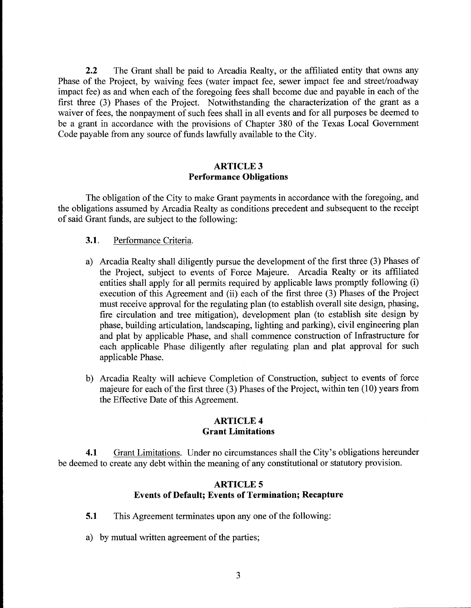2.2 The Grant shall be paid to Arcadia Realty, or the affiliated entity that owns any Phase of the Project, by waiving fees (water impact fee, sewer impact fee and street/roadway impact fee) as and when each of the foregoing fees shall become due and payable in each of the first three (3) Phases of the Project. Notwithstanding the characterization of the grant as <sup>a</sup> waiver of fees, the nonpayment of such fees shall in all events and for all purposes be deemed to be <sup>a</sup> grant in accordance with the provisions of Chapter 380 of the Texas Local Government Code payable from any source of funds lawfully available to the City.

# ARTICLE 3 Performance Obligations

The obligation of the City to make Grant payments in accordance with the foregoing, and the obligations assumed by Arcadia Realty as conditions precedent and subsequent to the receipt of said Grant funds, are subject to the following:

### 3.1. Performance Criteria.

- a) Arcadia Realty shall diligently pursue the development of the first three (3) Phases of the Project, subject to events of Force Majeure. Arcadia Realty or its affiliated Arcadia Realty shall diligently pursue the development of the first three (3) Phases of<br>the Project, subject to events of Force Majeure. Arcadia Realty or its affiliated<br>entities shall apply for all permits required by app entities shall apply for all permits required by applicable laws promptly following (i) execution of this Agreement and (ii) each of the first three (3) Phases of the Project must receive approval for the regulating plan (to establish overall site design, phasing, fire circulation and tree mitigation), development plan (to establish site design by phase, building articulation, landscaping, lighting and parking), civil engineering plan and plat by applicable Phase, and shall commence construction of Infrastructure for each applicable Phase diligently after regulating plan and plat approval for such applicable Phase.
- b) Arcadia Realty will achieve Completion of Construction, subject to events of force majeure for each of the first three  $(3)$  Phases of the Project, within ten  $(10)$  years from the Effective Date of this Agreement.

#### ARTICLE 4 Grant Limitations

4.1 Grant Limitations. Under no circumstances shall the City's obligations hereunder be deemed to create any debt within the meaning of any constitutional or statutory provision.

## ARTICLE 5 Events of Default; Events of Termination; Recapture

- 5.1 This Agreement terminates upon any one of the following:
- a) by mutual written agreement of the parties;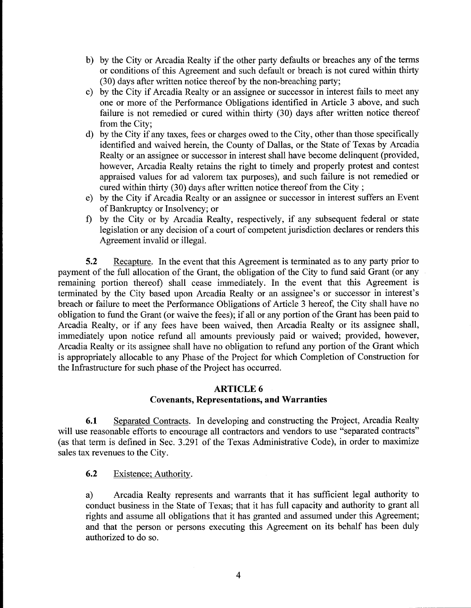- b) by the City or Arcadia Realty if the other party defaults or breaches any of the terms or conditions of this Agreement and such default or breach is not cured within thirty 30) days after written notice thereof by the non - breaching parry;
- c) by the City if Arcadia Realty or an assignee or successor in interest fails to meet any one or more of the Performance Obligations identified in Article <sup>3</sup> above, and such failure is not remedied or cured within thirty (30) days after written notice thereof from the City;
- d) by the City if any taxes, fees or charges owed to the City, other than those specifically identified and waived herein, the County of Dallas, or the State of Texas by Arcadia Realty or an assignee or successor in interest shall have become delinquent (provided, however, Arcadia Realty retains the right to timely and properly protest and contest appraised values for ad valorem tax purposes), and such failure is not remedied or cured within thirty (30) days after written notice thereof from the City ;
- e) by the City if Arcadia Realty or an assignee or successor in interest suffers an Event ofBankruptcy or Insolvency; or
- f) by the City or by Arcadia Realty, respectively, if any subsequent federal or state legislation or any decision of <sup>a</sup> court of competent jurisdiction declares or renders this Agreement invalid or illegal.

5.2 Recapture. In the event that this Agreement is terminated as to any party prior to payment of the full allocation of the Grant, the obligation of the City to fund said Grant (or any remaining portion thereof) shall cease immediately. In the event that this Agreement is payment of the full allocation of the Grant, the obligation of the City to fund said Grant (or any<br>remaining portion thereof) shall cease immediately. In the event that this Agreement is<br>terminated by the City based upon A breach or failure to meet the Performance Obligations of Article <sup>3</sup> hereof, the City shall have no obligation to fund the Grant (or waive the fees); if all or any portion of the Grant has been paid to Arcadia Realty, or if any fees have been waived, then Arcadia Realty or its assignee shall, immediately upon notice refund all amounts previously paid or waived; provided, however, Arcadia Realty or its assignee shall have no obligation to refund any portion of the Grant which is appropriately allocable to any Phase of the Project for which Completion of Construction for the Infrastructure for such phase of the Project has occurred.

# ARTICLE 6 Covenants, Representations, and Warranties

6.1 Separated Contracts. In developing and constructing the Project, Arcadia Realty will use reasonable efforts to encourage all contractors and vendors to use "separated contracts" as that term is defined in Sec. 3.291 of the Texas Administrative Code), in order to maximize sales tax revenues to the City.

6.2 Existence; Authority

a) Arcadia Realty represents and warrants that it has sufficient legal authority to conduct business in the State of Texas; that it has full capacity and authority to grant all rights and assume all obligations that it has granted and assumed under this Agreement; and that the person or persons executing this Agreement on its behalf has been duly authorized to do so.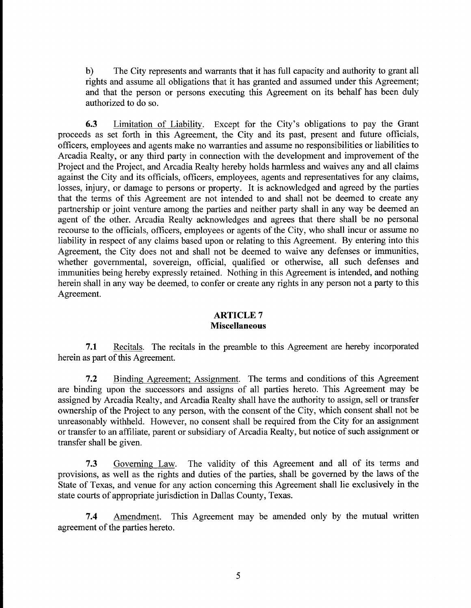b) The City represents and warrants that it has full capacity and authority to grant all rights and assume all obligations that it has granted and assumed under this Agreement; and that the person or persons executing this Agreement on its behalf has been duly authorized to do so.

6.3 Limitation of Liability. Except for the City's obligations to pay the Grant proceeds as set forth in this Agreement, the City and its past, present and future officials, officers, employees and agents make no warranties and assume no responsibilities or liabilities to Arcadia Realty, or any third party in connection with the development and improvement of the Project and the Project, and Arcadia Realty hereby holds harmless and waives any and all claims against the City and its officials, officers, employees, agents and representatives for any claims, losses, injury, or damage to persons or property. It is acknowledged and agreed by the parties that the terms of this Agreement are not intended to and shall not be deemed to create any partnership or joint venture among the parties and neither party shall in any way be deemed an agent of the other. Arcadia Realty acknowledges and agrees that there shall be no personal recourse to the officials, officers, employees or agents of the City, who shall incur or assume no liability in respect of any claims based upon or relating to this Agreement. By entering into this Agreement, the City does not and shall not be deemed to waive any defenses or immunities, whether governmental, sovereign, official, qualified or otherwise, all such defenses and immunities being hereby expressly retained. Nothing in this Agreement is intended, and nothing herein shall in any way be deemed, to confer or create any rights in any person not a parry to this Agreement.

## ARTICLE 7 Miscellaneous

7.1 Recitals. The recitals in the preamble to this Agreement are hereby incorporated herein as part of this Agreement.

7.2 Binding Agreement; Assignment. The terms and conditions of this Agreement are binding upon the successors and assigns of all parties hereto. This Agreement may be assigned by Arcadia Realty, and Arcadia Realty shall have the authority to assign, sell or transfer ownership of the Project to any person, with the consent of the City, which consent shall not be unreasonably withheld. However, no consent shall be required from the City for an assignment or transfer to an affiliate, parent or subsidiary of Arcadia Realty, but notice of such assignment or transfer shall be given.

7.3 Governing Law. The validity of this Agreement and all of its terms and provisions, as well as the rights and duties of the parties, shall be governed by the laws of the State of Texas, and venue for any action concerning this Agreement shall lie exclusively in the state courts of appropriate jurisdiction in Dallas County, Texas.

7.4 Amendment. This Agreement may be amended only by the mutual written agreement of the parties hereto.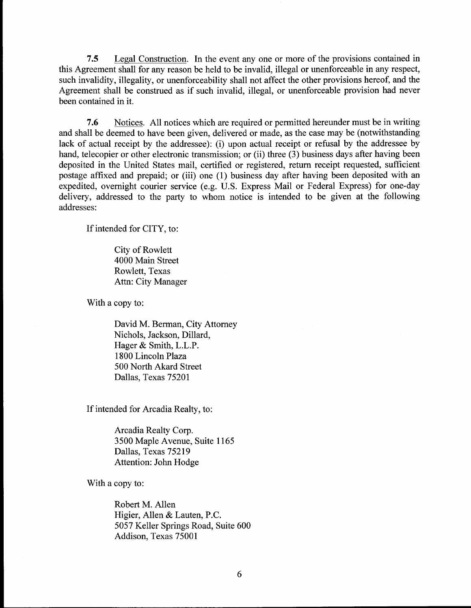7.5 Legal Construction. In the event any one or more of the provisions contained in this Agreement shall for any reason be held to be invalid, illegal or unenforceable in any respect, such invalidity, illegality, or unenforceability shall not affect the other provisions hereof, and the Agreement shall be construed as if such invalid, illegal, or unenforceable provision had never been contained in it.

7.6 Notices All notices which are required or permitted hereunder must be in writing and shall be deemed to have been given, delivered or made, as the case may be (notwithstanding lack of actual receipt by the addressee): (i) upon actual receipt or refusal by the addressee by hand, telecopier or other electronic transmission; or (ii) three (3) business days after having been deposited in the United States mail, certified or registered, return receipt requested, sufficient postage affixed and prepaid; or (iii) one (1) business day after having been deposited with an expedited, overnight courier service (e.g. U.S. Express Mail or Federal Express) for one -day delivery, addressed to the party to whom notice is intended to be given at the following addresses:

If intended for CITY, to:

City of Rowlett 4000 Main Street Rowlett, Texas Attn: City Manager

With <sup>a</sup> copy to:

David M. Berman, City Attorney Nichols, Jackson, Dillard, David M. Berman, City A<br>Nichols, Jackson, Dillard<br>Hager & Smith, L.L.P. 1800 Lincoln Plaza 500 North Akard Street Dallas, Texas 75201

If intended for Arcadia Realty, to:

Arcadia Realty Corp. 3500 Maple Avenue, Suite 1165 Dallas, Texas 75219 Attention: John Hodge

With <sup>a</sup> copy to:

Robert M. Allen Higier, Allen & Lauten, P.C. 5057 Keller Springs Road, Suite 600 Addison, Texas 75001